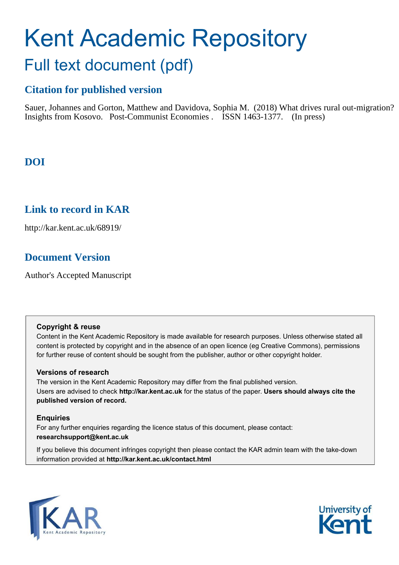# Kent Academic Repository Full text document (pdf)

# **Citation for published version**

Sauer, Johannes and Gorton, Matthew and Davidova, Sophia M. (2018) What drives rural out-migration? Insights from Kosovo. Post-Communist Economies . ISSN 1463-1377. (In press)

# **DOI**

# **Link to record in KAR**

http://kar.kent.ac.uk/68919/

# **Document Version**

Author's Accepted Manuscript

# **Copyright & reuse**

Content in the Kent Academic Repository is made available for research purposes. Unless otherwise stated all content is protected by copyright and in the absence of an open licence (eg Creative Commons), permissions for further reuse of content should be sought from the publisher, author or other copyright holder.

# **Versions of research**

The version in the Kent Academic Repository may differ from the final published version. Users are advised to check **http://kar.kent.ac.uk** for the status of the paper. **Users should always cite the published version of record.**

# **Enquiries**

For any further enquiries regarding the licence status of this document, please contact: **researchsupport@kent.ac.uk**

If you believe this document infringes copyright then please contact the KAR admin team with the take-down information provided at **http://kar.kent.ac.uk/contact.html**



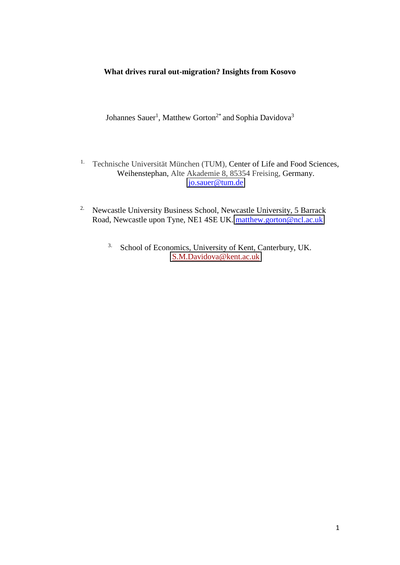# **What drives rural out-migration? Insights from Kosovo**

Johannes Sauer<sup>1</sup>, Matthew Gorton<sup>2\*</sup> and Sophia Davidova<sup>3</sup>

- <sup>1.</sup> Technische Universität München (TUM), Center of Life and Food Sciences, Weihenstephan, Alte Akademie 8, 85354 Freising, Germany. [jo.sauer@tum.de](mailto:jo.sauer@tum.de)
- <sup>2.</sup> Newcastle University Business School, Newcastle University, 5 Barrack Road, Newcastle upon Tyne, NE1 4SE UK. [matthew.gorton@ncl.ac.uk](mailto:matthew.gorton@ncl.ac.uk) 
	- 3. School of Economics, University of Kent, Canterbury, UK. [S.M.Davidova@kent.ac.uk](mailto:S.M.Davidova@kent.ac.uk)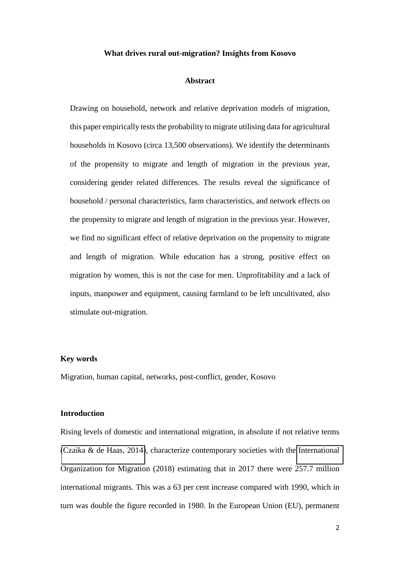#### **What drives rural out-migration? Insights from Kosovo**

#### **Abstract**

Drawing on household, network and relative deprivation models of migration, this paper empirically tests the probability to migrate utilising data for agricultural households in Kosovo (circa 13,500 observations). We identify the determinants of the propensity to migrate and length of migration in the previous year, considering gender related differences. The results reveal the significance of household / personal characteristics, farm characteristics, and network effects on the propensity to migrate and length of migration in the previous year. However, we find no significant effect of relative deprivation on the propensity to migrate and length of migration. While education has a strong, positive effect on migration by women, this is not the case for men. Unprofitability and a lack of inputs, manpower and equipment, causing farmland to be left uncultivated, also stimulate out-migration.

#### **Key words**

Migration, human capital, networks, post-conflict, gender, Kosovo

#### **Introduction**

Rising levels of domestic and international migration, in absolute if not relative terms [\(Czaika & de Haas, 2014\)](#page-21-0), characterize contemporary societies with the [International](#page-23-0)  Organization for Migration (2018) estimating that in 2017 there were 257.7 million international migrants. This was a 63 per cent increase compared with 1990, which in turn was double the figure recorded in 1980. In the European Union (EU), permanent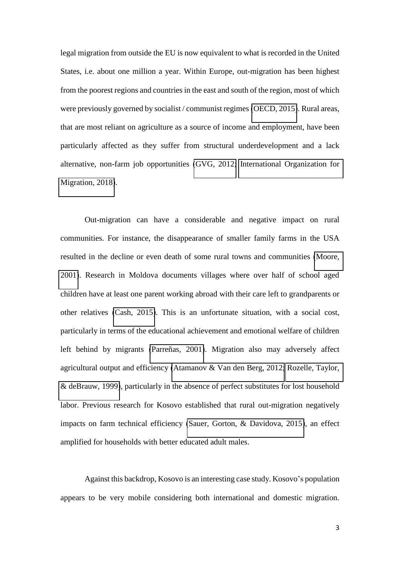legal migration from outside the EU is now equivalent to what is recorded in the United States, i.e. about one million a year. Within Europe, out-migration has been highest from the poorest regions and countries in the east and south of the region, most of which were previously governed by socialist / communist regimes [\(OECD, 2015\)](#page-25-0). Rural areas, that are most reliant on agriculture as a source of income and employment, have been particularly affected as they suffer from structural underdevelopment and a lack alternative, non-farm job opportunities [\(GVG, 2012;](#page-22-0) [International Organization for](#page-23-0)  [Migration, 2018\)](#page-23-0).

Out-migration can have a considerable and negative impact on rural communities. For instance, the disappearance of smaller family farms in the USA resulted in the decline or even death of some rural towns and communities [\(Moore,](#page-25-1)  [2001\)](#page-25-1). Research in Moldova documents villages where over half of school aged children have at least one parent working abroad with their care left to grandparents or other relatives [\(Cash, 2015\)](#page-21-1). This is an unfortunate situation, with a social cost, particularly in terms of the educational achievement and emotional welfare of children left behind by migrants [\(Parreñas, 2001\)](#page-25-2). Migration also may adversely affect agricultural output and efficiency [\(Atamanov & Van den Berg, 2012;](#page-20-0) [Rozelle, Taylor,](#page-26-0)  [& deBrauw, 1999\)](#page-26-0), particularly in the absence of perfect substitutes for lost household labor. Previous research for Kosovo established that rural out-migration negatively impacts on farm technical efficiency [\(Sauer, Gorton, & Davidova, 2015\)](#page-26-1), an effect amplified for households with better educated adult males.

Against this backdrop, Kosovo is an interesting case study. Kosovo's population appears to be very mobile considering both international and domestic migration.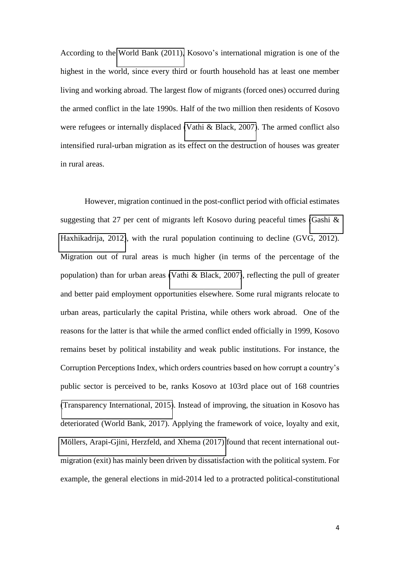According to the [World Bank \(2011\),](#page-27-0) Kosovo's international migration is one of the highest in the world, since every third or fourth household has at least one member living and working abroad. The largest flow of migrants (forced ones) occurred during the armed conflict in the late 1990s. Half of the two million then residents of Kosovo were refugees or internally displaced [\(Vathi & Black, 2007\)](#page-27-1). The armed conflict also intensified rural-urban migration as its effect on the destruction of houses was greater in rural areas.

However, migration continued in the post-conflict period with official estimates suggesting that 27 per cent of migrants left Kosovo during peaceful times [\(Gashi &](#page-22-1)  [Haxhikadrija, 2012\)](#page-22-1), with the rural population continuing to decline (GVG, 2012). Migration out of rural areas is much higher (in terms of the percentage of the population) than for urban areas [\(Vathi & Black, 2007\)](#page-27-1), reflecting the pull of greater and better paid employment opportunities elsewhere. Some rural migrants relocate to urban areas, particularly the capital Pristina, while others work abroad. One of the reasons for the latter is that while the armed conflict ended officially in 1999, Kosovo remains beset by political instability and weak public institutions. For instance, the Corruption Perceptions Index, which orders countries based on how corrupt a country's public sector is perceived to be, ranks Kosovo at 103rd place out of 168 countries [\(Transparency International, 2015\)](#page-27-2). Instead of improving, the situation in Kosovo has deteriorated (World Bank, 2017). Applying the framework of voice, loyalty and exit, [Möllers, Arapi-Gjini, Herzfeld, and Xhema \(2017\)](#page-25-3) found that recent international outmigration (exit) has mainly been driven by dissatisfaction with the political system. For example, the general elections in mid-2014 led to a protracted political-constitutional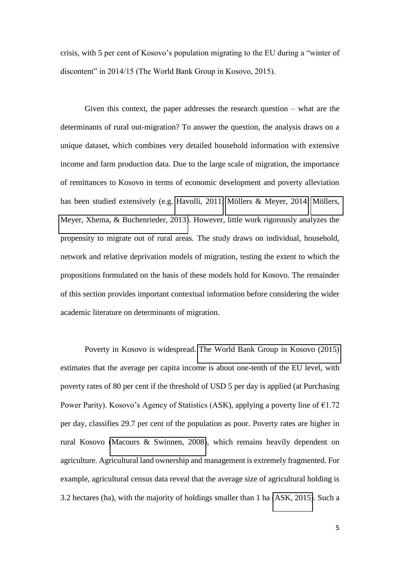crisis, with 5 per cent of Kosovo's population migrating to the EU during a "winter of discontent" in 2014/15 (The World Bank Group in Kosovo, 2015).

Given this context, the paper addresses the research question – what are the determinants of rural out-migration? To answer the question, the analysis draws on a unique dataset, which combines very detailed household information with extensive income and farm production data. Due to the large scale of migration, the importance of remittances to Kosovo in terms of economic development and poverty alleviation has been studied extensively (e.g. [Havolli, 2011;](#page-23-1) [Möllers & Meyer, 2014;](#page-25-4) [Möllers,](#page-25-5)  [Meyer, Xhema, & Buchenrieder, 2013\)](#page-25-5). However, little work rigorously analyzes the propensity to migrate out of rural areas. The study draws on individual, household, network and relative deprivation models of migration, testing the extent to which the propositions formulated on the basis of these models hold for Kosovo. The remainder of this section provides important contextual information before considering the wider academic literature on determinants of migration.

Poverty in Kosovo is widespread. [The World Bank Group in Kosovo \(2015\)](#page-26-2)  estimates that the average per capita income is about one-tenth of the EU level, with poverty rates of 80 per cent if the threshold of USD 5 per day is applied (at Purchasing Power Parity). Kosovo's Agency of Statistics (ASK), applying a poverty line of  $\epsilon$ 1.72 per day, classifies 29.7 per cent of the population as poor. Poverty rates are higher in rural Kosovo [\(Macours & Swinnen, 2008\)](#page-24-0), which remains heavily dependent on agriculture. Agricultural land ownership and management is extremely fragmented. For example, agricultural census data reveal that the average size of agricultural holding is 3.2 hectares (ha), with the majority of holdings smaller than 1 ha [\(ASK, 2015\)](#page-20-1). Such a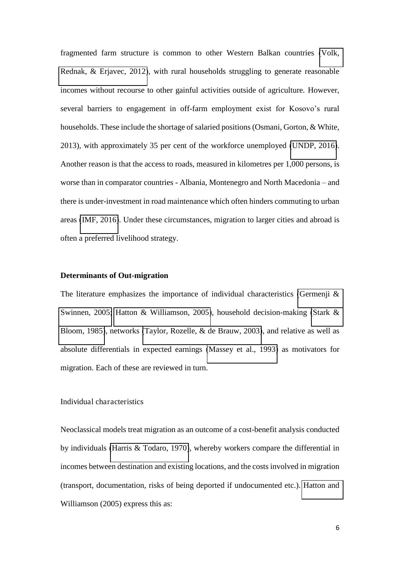fragmented farm structure is common to other Western Balkan countries [\(Volk,](#page-27-3)  [Rednak, & Erjavec, 2012\)](#page-27-3), with rural households struggling to generate reasonable incomes without recourse to other gainful activities outside of agriculture. However, several barriers to engagement in off-farm employment exist for Kosovo's rural households. These include the shortage of salaried positions (Osmani, Gorton, & White, 2013), with approximately 35 per cent of the workforce unemployed [\(UNDP, 2016\)](#page-27-4). Another reason is that the access to roads, measured in kilometres per 1,000 persons, is worse than in comparator countries - Albania, Montenegro and North Macedonia – and there is under-investment in road maintenance which often hinders commuting to urban areas [\(IMF, 2016\)](#page-23-2). Under these circumstances, migration to larger cities and abroad is often a preferred livelihood strategy.

## **Determinants of Out-migration**

The literature emphasizes the importance of individual characteristics (Germenji  $\&$ [Swinnen, 2005;](#page-22-2) [Hatton & Williamson, 2005\)](#page-22-3), household decision-making [\(Stark &](#page-26-3)  [Bloom, 1985\)](#page-26-3), networks [\(Taylor, Rozelle, & de Brauw, 2003\)](#page-26-4), and relative as well as absolute differentials in expected earnings [\(Massey et al., 1993\)](#page-24-1) as motivators for migration. Each of these are reviewed in turn.

## Individual characteristics

Neoclassical models treat migration as an outcome of a cost-benefit analysis conducted by individuals [\(Harris & Todaro, 1970\)](#page-22-4), whereby workers compare the differential in incomes between destination and existing locations, and the costs involved in migration (transport, documentation, risks of being deported if undocumented etc.). [Hatton and](#page-22-3)  Williamson (2005) express this as: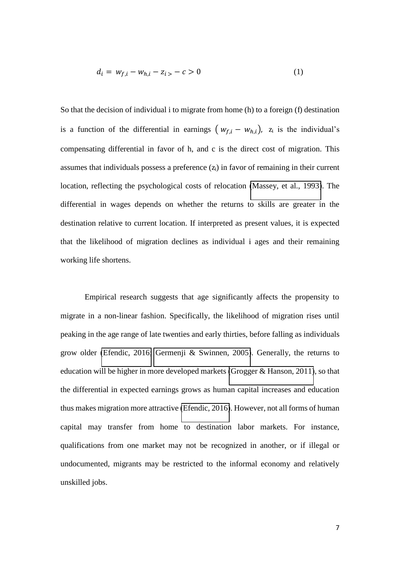$$
d_i = w_{f,i} - w_{h,i} - z_i > -c > 0
$$
 (1)

So that the decision of individual i to migrate from home (h) to a foreign (f) destination is a function of the differential in earnings  $(w_{f,i} - w_{h,i})$ ,  $z_i$  is the individual's compensating differential in favor of h, and c is the direct cost of migration. This assumes that individuals possess a preference  $(z<sub>i</sub>)$  in favor of remaining in their current location, reflecting the psychological costs of relocation [\(Massey, et al., 1993\)](#page-24-1). The differential in wages depends on whether the returns to skills are greater in the destination relative to current location. If interpreted as present values, it is expected that the likelihood of migration declines as individual i ages and their remaining working life shortens.

Empirical research suggests that age significantly affects the propensity to migrate in a non-linear fashion. Specifically, the likelihood of migration rises until peaking in the age range of late twenties and early thirties, before falling as individuals grow older [\(Efendic, 2016;](#page-21-2) [Germenji & Swinnen, 2005\)](#page-22-2). Generally, the returns to education will be higher in more developed markets [\(Grogger & Hanson, 2011\)](#page-22-5), so that the differential in expected earnings grows as human capital increases and education thus makes migration more attractive [\(Efendic, 2016\)](#page-21-2). However, not all forms of human capital may transfer from home to destination labor markets. For instance, qualifications from one market may not be recognized in another, or if illegal or undocumented, migrants may be restricted to the informal economy and relatively unskilled jobs.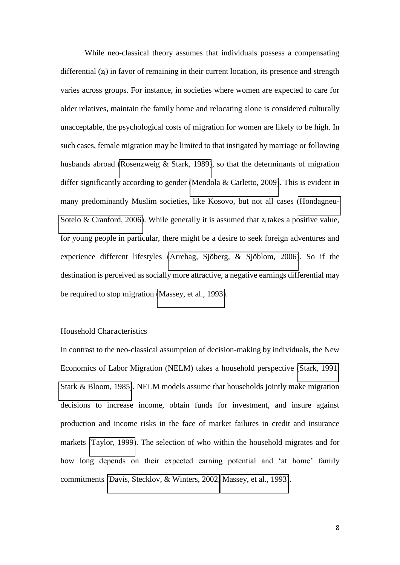While neo-classical theory assumes that individuals possess a compensating differential  $(z<sub>i</sub>)$  in favor of remaining in their current location, its presence and strength varies across groups. For instance, in societies where women are expected to care for older relatives, maintain the family home and relocating alone is considered culturally unacceptable, the psychological costs of migration for women are likely to be high. In such cases, female migration may be limited to that instigated by marriage or following husbands abroad [\(Rosenzweig & Stark, 1989\)](#page-26-5), so that the determinants of migration differ significantly according to gender [\(Mendola & Carletto, 2009\)](#page-24-2). This is evident in many predominantly Muslim societies, like Kosovo, but not all cases [\(Hondagneu-](#page-23-3)[Sotelo & Cranford, 2006\)](#page-23-3). While generally it is assumed that  $z_i$  takes a positive value, for young people in particular, there might be a desire to seek foreign adventures and experience different lifestyles [\(Arrehag, Sjöberg, & Sjöblom, 2006\)](#page-20-2). So if the destination is perceived as socially more attractive, a negative earnings differential may be required to stop migration [\(Massey, et al., 1993\)](#page-24-1).

## Household Characteristics

In contrast to the neo-classical assumption of decision-making by individuals, the New Economics of Labor Migration (NELM) takes a household perspective [\(Stark, 1991;](#page-26-6) [Stark & Bloom, 1985\)](#page-26-3). NELM models assume that households jointly make migration decisions to increase income, obtain funds for investment, and insure against production and income risks in the face of market failures in credit and insurance markets [\(Taylor, 1999\)](#page-26-7). The selection of who within the household migrates and for how long depends on their expected earning potential and 'at home' family commitments [\(Davis, Stecklov, & Winters, 2002;](#page-21-3) [Massey, et al., 1993\)](#page-24-1).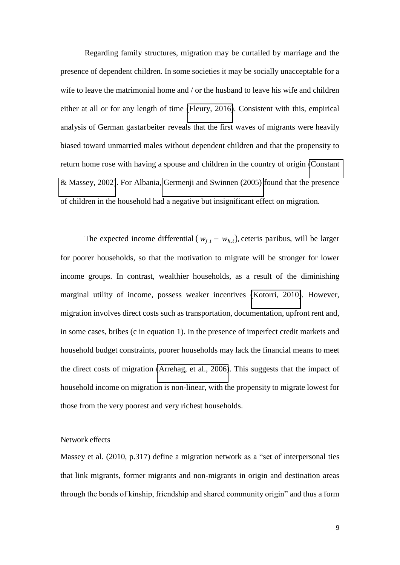Regarding family structures, migration may be curtailed by marriage and the presence of dependent children. In some societies it may be socially unacceptable for a wife to leave the matrimonial home and / or the husband to leave his wife and children either at all or for any length of time [\(Fleury, 2016\)](#page-22-6). Consistent with this, empirical analysis of German gastarbeiter reveals that the first waves of migrants were heavily biased toward unmarried males without dependent children and that the propensity to return home rose with having a spouse and children in the country of origin [\(Constant](#page-21-4)  [& Massey, 2002\)](#page-21-4). For Albania, [Germenji and Swinnen \(2005\)](#page-22-2) found that the presence of children in the household had a negative but insignificant effect on migration.

The expected income differential  $(w_{f,i} - w_{h,i})$ , ceteris paribus, will be larger for poorer households, so that the motivation to migrate will be stronger for lower income groups. In contrast, wealthier households, as a result of the diminishing marginal utility of income, possess weaker incentives [\(Kotorri, 2010\)](#page-23-4). However, migration involves direct costs such as transportation, documentation, upfront rent and, in some cases, bribes (c in equation 1). In the presence of imperfect credit markets and household budget constraints, poorer households may lack the financial means to meet the direct costs of migration [\(Arrehag, et al., 2006\)](#page-20-2). This suggests that the impact of household income on migration is non-linear, with the propensity to migrate lowest for those from the very poorest and very richest households.

## Network effects

Massey et al. (2010, p.317) define a migration network as a "set of interpersonal ties that link migrants, former migrants and non-migrants in origin and destination areas through the bonds of kinship, friendship and shared community origin" and thus a form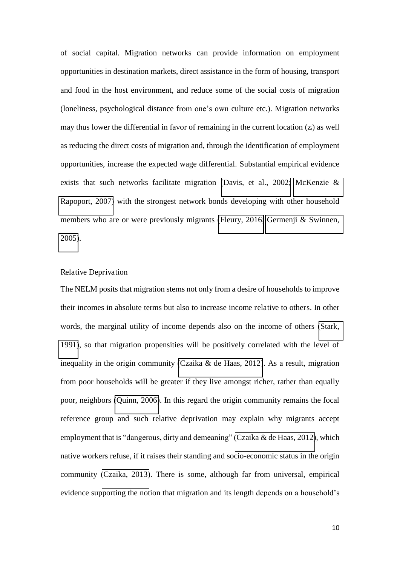of social capital. Migration networks can provide information on employment opportunities in destination markets, direct assistance in the form of housing, transport and food in the host environment, and reduce some of the social costs of migration (loneliness, psychological distance from one's own culture etc.). Migration networks may thus lower the differential in favor of remaining in the current location  $(z<sub>i</sub>)$  as well as reducing the direct costs of migration and, through the identification of employment opportunities, increase the expected wage differential. Substantial empirical evidence exists that such networks facilitate migration [\(Davis, et al., 2002;](#page-21-3) [McKenzie &](#page-24-3)  [Rapoport, 2007\)](#page-24-3) with the strongest network bonds developing with other household members who are or were previously migrants [\(Fleury, 2016;](#page-22-6) [Germenji & Swinnen,](#page-22-2)  [2005\)](#page-22-2).

# Relative Deprivation

The NELM posits that migration stems not only from a desire of households to improve their incomes in absolute terms but also to increase income relative to others. In other words, the marginal utility of income depends also on the income of others [\(Stark,](#page-26-6)  [1991\)](#page-26-6), so that migration propensities will be positively correlated with the level of inequality in the origin community [\(Czaika & de Haas, 2012\)](#page-21-5). As a result, migration from poor households will be greater if they live amongst richer, rather than equally poor, neighbors [\(Quinn, 2006\)](#page-25-6). In this regard the origin community remains the focal reference group and such relative deprivation may explain why migrants accept employment that is "dangerous, dirty and demeaning" [\(Czaika & de Haas, 2012\)](#page-21-5), which native workers refuse, if it raises their standing and socio-economic status in the origin community [\(Czaika, 2013\)](#page-21-6). There is some, although far from universal, empirical evidence supporting the notion that migration and its length depends on a household's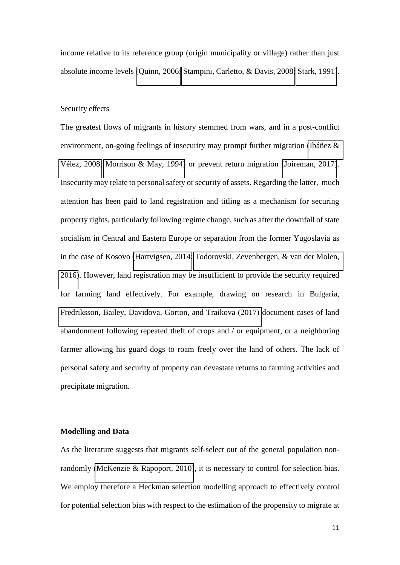income relative to its reference group (origin municipality or village) rather than just absolute income levels [\(Quinn, 2006;](#page-25-6) [Stampini, Carletto, & Davis, 2008;](#page-26-8) [Stark, 1991\)](#page-26-6).

#### Security effects

The greatest flows of migrants in history stemmed from wars, and in a post-conflict environment, on-going feelings of insecurity may prompt further migration [\(Ibáñez &](#page-23-5)  [Vélez, 2008;](#page-23-5) [Morrison & May, 1994\)](#page-25-7) or prevent return migration [\(Joireman, 2017\)](#page-23-6). Insecurity may relate to personal safety or security of assets. Regarding the latter, much attention has been paid to land registration and titling as a mechanism for securing property rights, particularly following regime change, such as after the downfall of state socialism in Central and Eastern Europe or separation from the former Yugoslavia as in the case of Kosovo [\(Hartvigsen, 2014;](#page-22-7) [Todorovski, Zevenbergen, & van der Molen,](#page-27-5)  [2016\)](#page-27-5). However, land registration may be insufficient to provide the security required for farming land effectively. For example, drawing on research in Bulgaria, [Fredriksson, Bailey, Davidova, Gorton, and Traikova \(2017\)](#page-22-8) document cases of land abandonment following repeated theft of crops and / or equipment, or a neighboring farmer allowing his guard dogs to roam freely over the land of others. The lack of personal safety and security of property can devastate returns to farming activities and precipitate migration.

#### **Modelling and Data**

As the literature suggests that migrants self-select out of the general population nonrandomly [\(McKenzie & Rapoport, 2010\)](#page-24-4), it is necessary to control for selection bias. We employ therefore a Heckman selection modelling approach to effectively control for potential selection bias with respect to the estimation of the propensity to migrate at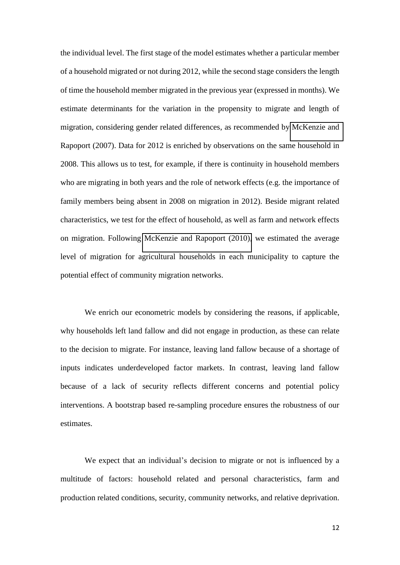the individual level. The first stage of the model estimates whether a particular member of a household migrated or not during 2012, while the second stage considers the length of time the household member migrated in the previous year (expressed in months). We estimate determinants for the variation in the propensity to migrate and length of migration, considering gender related differences, as recommended by [McKenzie and](#page-24-3)  Rapoport (2007). Data for 2012 is enriched by observations on the same household in 2008. This allows us to test, for example, if there is continuity in household members who are migrating in both years and the role of network effects (e.g. the importance of family members being absent in 2008 on migration in 2012). Beside migrant related characteristics, we test for the effect of household, as well as farm and network effects on migration. Following [McKenzie and Rapoport \(2010\),](#page-24-4) we estimated the average level of migration for agricultural households in each municipality to capture the potential effect of community migration networks.

We enrich our econometric models by considering the reasons, if applicable, why households left land fallow and did not engage in production, as these can relate to the decision to migrate. For instance, leaving land fallow because of a shortage of inputs indicates underdeveloped factor markets. In contrast, leaving land fallow because of a lack of security reflects different concerns and potential policy interventions. A bootstrap based re-sampling procedure ensures the robustness of our estimates.

We expect that an individual's decision to migrate or not is influenced by a multitude of factors: household related and personal characteristics, farm and production related conditions, security, community networks, and relative deprivation.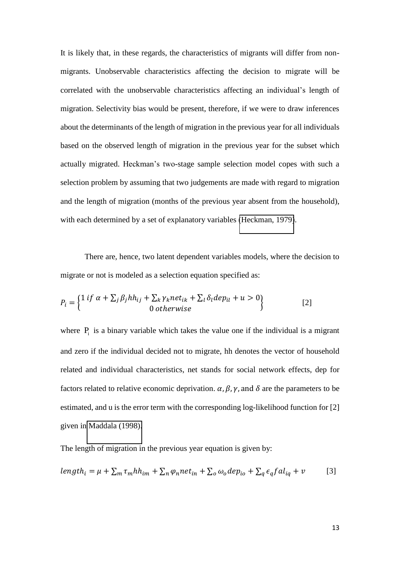It is likely that, in these regards, the characteristics of migrants will differ from nonmigrants. Unobservable characteristics affecting the decision to migrate will be correlated with the unobservable characteristics affecting an individual's length of migration. Selectivity bias would be present, therefore, if we were to draw inferences about the determinants of the length of migration in the previous year for all individuals based on the observed length of migration in the previous year for the subset which actually migrated. Heckman's two-stage sample selection model copes with such a selection problem by assuming that two judgements are made with regard to migration and the length of migration (months of the previous year absent from the household), with each determined by a set of explanatory variables [\(Heckman, 1979\)](#page-23-7).

There are, hence, two latent dependent variables models, where the decision to migrate or not is modeled as a selection equation specified as:

$$
P_i = \begin{cases} 1 \text{ if } \alpha + \sum_j \beta_j h h_{ij} + \sum_k \gamma_k n e t_{ik} + \sum_l \delta_l d e p_{il} + u > 0 \\ 0 \text{ otherwise} \end{cases}
$$
 [2]

where  $P_i$  is a binary variable which takes the value one if the individual is a migrant and zero if the individual decided not to migrate, hh denotes the vector of household related and individual characteristics, net stands for social network effects, dep for factors related to relative economic deprivation.  $\alpha$ ,  $\beta$ ,  $\gamma$ , and  $\delta$  are the parameters to be estimated, and u is the error term with the corresponding log-likelihood function for [2] given in [Maddala \(1998\).](#page-24-5)

The length of migration in the previous year equation is given by:

$$
length_i = \mu + \sum_m \tau_m h h_{im} + \sum_n \varphi_n net_{in} + \sum_o \omega_o dep_{io} + \sum_q \epsilon_q fal_{iq} + \nu
$$
 [3]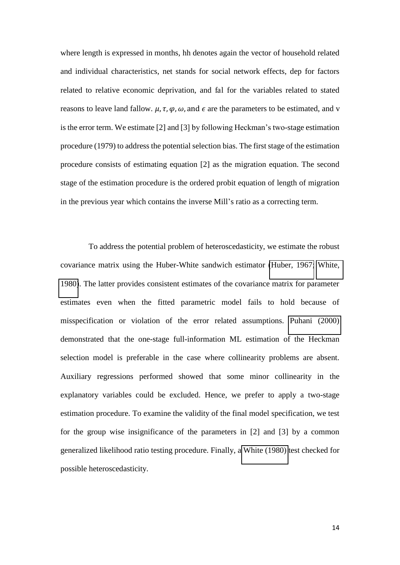where length is expressed in months, hh denotes again the vector of household related and individual characteristics, net stands for social network effects, dep for factors related to relative economic deprivation, and fal for the variables related to stated reasons to leave land fallow.  $\mu$ ,  $\tau$ ,  $\varphi$ ,  $\omega$ , and  $\epsilon$  are the parameters to be estimated, and v is the error term. We estimate [2] and [3] by following Heckman's two-stage estimation procedure (1979) to address the potential selection bias. The first stage of the estimation procedure consists of estimating equation [2] as the migration equation. The second stage of the estimation procedure is the ordered probit equation of length of migration in the previous year which contains the inverse Mill's ratio as a correcting term.

To address the potential problem of heteroscedasticity, we estimate the robust covariance matrix using the Huber-White sandwich estimator [\(Huber, 1967;](#page-23-8) [White,](#page-27-6)  [1980\)](#page-27-6). The latter provides consistent estimates of the covariance matrix for parameter estimates even when the fitted parametric model fails to hold because of misspecification or violation of the error related assumptions. [Puhani \(2000\)](#page-25-8)  demonstrated that the one-stage full-information ML estimation of the Heckman selection model is preferable in the case where collinearity problems are absent. Auxiliary regressions performed showed that some minor collinearity in the explanatory variables could be excluded. Hence, we prefer to apply a two-stage estimation procedure. To examine the validity of the final model specification, we test for the group wise insignificance of the parameters in [2] and [3] by a common generalized likelihood ratio testing procedure. Finally, a [White \(1980\)](#page-27-6) test checked for possible heteroscedasticity.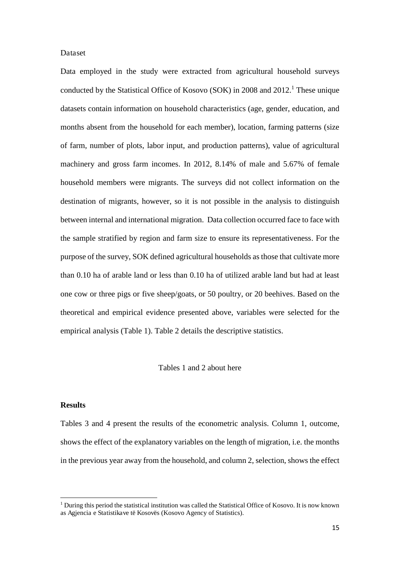#### Dataset

Data employed in the study were extracted from agricultural household surveys conducted by the Statistical Office of Kosovo (SOK) in 2008 and  $2012$ .<sup>1</sup> These unique datasets contain information on household characteristics (age, gender, education, and months absent from the household for each member), location, farming patterns (size of farm, number of plots, labor input, and production patterns), value of agricultural machinery and gross farm incomes. In 2012, 8.14% of male and 5.67% of female household members were migrants. The surveys did not collect information on the destination of migrants, however, so it is not possible in the analysis to distinguish between internal and international migration. Data collection occurred face to face with the sample stratified by region and farm size to ensure its representativeness. For the purpose of the survey, SOK defined agricultural households as those that cultivate more than 0.10 ha of arable land or less than 0.10 ha of utilized arable land but had at least one cow or three pigs or five sheep/goats, or 50 poultry, or 20 beehives. Based on the theoretical and empirical evidence presented above, variables were selected for the empirical analysis (Table 1). Table 2 details the descriptive statistics.

#### Tables 1 and 2 about here

#### **Results**

<u>.</u>

Tables 3 and 4 present the results of the econometric analysis. Column 1, outcome, shows the effect of the explanatory variables on the length of migration, i.e. the months in the previous year away from the household, and column 2, selection, shows the effect

<sup>&</sup>lt;sup>1</sup> During this period the statistical institution was called the Statistical Office of Kosovo. It is now known as Agjencia e Statistikave të Kosovës (Kosovo Agency of Statistics).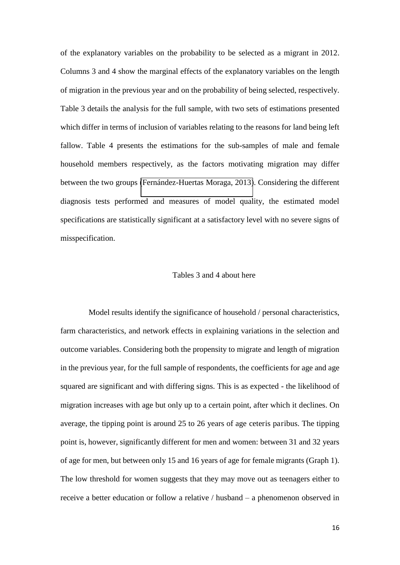of the explanatory variables on the probability to be selected as a migrant in 2012. Columns 3 and 4 show the marginal effects of the explanatory variables on the length of migration in the previous year and on the probability of being selected, respectively. Table 3 details the analysis for the full sample, with two sets of estimations presented which differ in terms of inclusion of variables relating to the reasons for land being left fallow. Table 4 presents the estimations for the sub-samples of male and female household members respectively, as the factors motivating migration may differ between the two groups [\(Fernández-Huertas Moraga, 2013\)](#page-21-7). Considering the different diagnosis tests performed and measures of model quality, the estimated model specifications are statistically significant at a satisfactory level with no severe signs of misspecification.

# Tables 3 and 4 about here

Model results identify the significance of household / personal characteristics, farm characteristics, and network effects in explaining variations in the selection and outcome variables. Considering both the propensity to migrate and length of migration in the previous year, for the full sample of respondents, the coefficients for age and age squared are significant and with differing signs. This is as expected - the likelihood of migration increases with age but only up to a certain point, after which it declines. On average, the tipping point is around 25 to 26 years of age ceteris paribus. The tipping point is, however, significantly different for men and women: between 31 and 32 years of age for men, but between only 15 and 16 years of age for female migrants (Graph 1). The low threshold for women suggests that they may move out as teenagers either to receive a better education or follow a relative / husband – a phenomenon observed in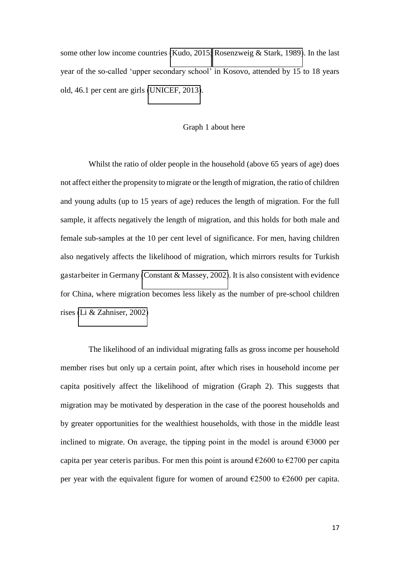some other low income countries [\(Kudo, 2015;](#page-24-6) [Rosenzweig & Stark, 1989\)](#page-26-5). In the last year of the so-called 'upper secondary school' in Kosovo, attended by 15 to 18 years old, 46.1 per cent are girls [\(UNICEF, 2013\)](#page-27-7).

#### Graph 1 about here

Whilst the ratio of older people in the household (above 65 years of age) does not affect either the propensity to migrate or the length of migration, the ratio of children and young adults (up to 15 years of age) reduces the length of migration. For the full sample, it affects negatively the length of migration, and this holds for both male and female sub-samples at the 10 per cent level of significance. For men, having children also negatively affects the likelihood of migration, which mirrors results for Turkish gastarbeiter in Germany [\(Constant & Massey, 2002\)](#page-21-4). It is also consistent with evidence for China, where migration becomes less likely as the number of pre-school children rises [\(Li & Zahniser, 2002\)](#page-24-7)

The likelihood of an individual migrating falls as gross income per household member rises but only up a certain point, after which rises in household income per capita positively affect the likelihood of migration (Graph 2). This suggests that migration may be motivated by desperation in the case of the poorest households and by greater opportunities for the wealthiest households, with those in the middle least inclined to migrate. On average, the tipping point in the model is around  $\epsilon$ 3000 per capita per year ceteris paribus. For men this point is around  $\epsilon$ 2600 to  $\epsilon$ 2700 per capita per year with the equivalent figure for women of around  $\epsilon$ 2500 to  $\epsilon$ 2600 per capita.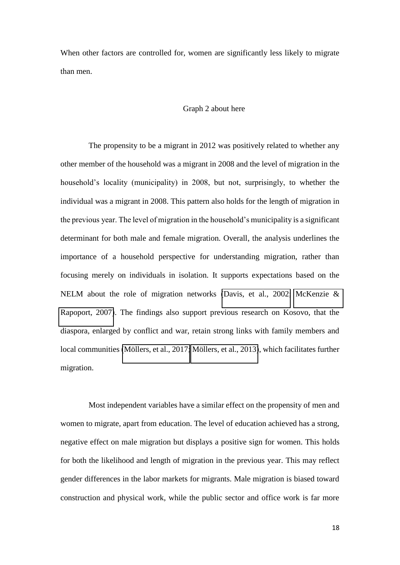When other factors are controlled for, women are significantly less likely to migrate than men.

#### Graph 2 about here

The propensity to be a migrant in 2012 was positively related to whether any other member of the household was a migrant in 2008 and the level of migration in the household's locality (municipality) in 2008, but not, surprisingly, to whether the individual was a migrant in 2008. This pattern also holds for the length of migration in the previous year. The level of migration in the household's municipality is a significant determinant for both male and female migration. Overall, the analysis underlines the importance of a household perspective for understanding migration, rather than focusing merely on individuals in isolation. It supports expectations based on the NELM about the role of migration networks [\(Davis, et al., 2002;](#page-21-3) [McKenzie &](#page-24-3)  [Rapoport, 2007\)](#page-24-3). The findings also support previous research on Kosovo, that the diaspora, enlarged by conflict and war, retain strong links with family members and local communities [\(Möllers, et al., 2017;](#page-25-3) [Möllers, et al., 2013\)](#page-25-5), which facilitates further migration.

Most independent variables have a similar effect on the propensity of men and women to migrate, apart from education. The level of education achieved has a strong, negative effect on male migration but displays a positive sign for women. This holds for both the likelihood and length of migration in the previous year. This may reflect gender differences in the labor markets for migrants. Male migration is biased toward construction and physical work, while the public sector and office work is far more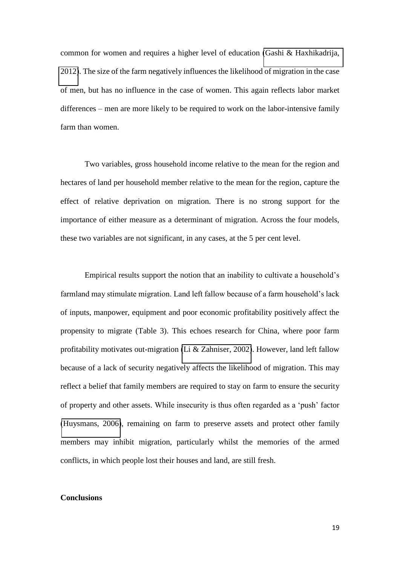common for women and requires a higher level of education [\(Gashi & Haxhikadrija,](#page-22-1)  [2012\)](#page-22-1). The size of the farm negatively influences the likelihood of migration in the case of men, but has no influence in the case of women. This again reflects labor market differences – men are more likely to be required to work on the labor-intensive family farm than women.

Two variables, gross household income relative to the mean for the region and hectares of land per household member relative to the mean for the region, capture the effect of relative deprivation on migration. There is no strong support for the importance of either measure as a determinant of migration. Across the four models, these two variables are not significant, in any cases, at the 5 per cent level.

Empirical results support the notion that an inability to cultivate a household's farmland may stimulate migration. Land left fallow because of a farm household's lack of inputs, manpower, equipment and poor economic profitability positively affect the propensity to migrate (Table 3). This echoes research for China, where poor farm profitability motivates out-migration [\(Li & Zahniser, 2002\)](#page-24-7). However, land left fallow because of a lack of security negatively affects the likelihood of migration. This may reflect a belief that family members are required to stay on farm to ensure the security of property and other assets. While insecurity is thus often regarded as a 'push' factor [\(Huysmans, 2006\)](#page-23-9), remaining on farm to preserve assets and protect other family members may inhibit migration, particularly whilst the memories of the armed conflicts, in which people lost their houses and land, are still fresh.

# **Conclusions**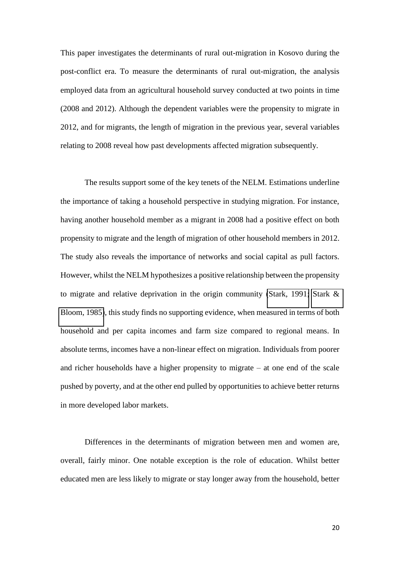This paper investigates the determinants of rural out-migration in Kosovo during the post-conflict era. To measure the determinants of rural out-migration, the analysis employed data from an agricultural household survey conducted at two points in time (2008 and 2012). Although the dependent variables were the propensity to migrate in 2012, and for migrants, the length of migration in the previous year, several variables relating to 2008 reveal how past developments affected migration subsequently.

The results support some of the key tenets of the NELM. Estimations underline the importance of taking a household perspective in studying migration. For instance, having another household member as a migrant in 2008 had a positive effect on both propensity to migrate and the length of migration of other household members in 2012. The study also reveals the importance of networks and social capital as pull factors. However, whilst the NELM hypothesizes a positive relationship between the propensity to migrate and relative deprivation in the origin community [\(Stark, 1991;](#page-26-6) [Stark &](#page-26-3)  [Bloom, 1985\)](#page-26-3), this study finds no supporting evidence, when measured in terms of both household and per capita incomes and farm size compared to regional means. In absolute terms, incomes have a non-linear effect on migration. Individuals from poorer and richer households have a higher propensity to migrate – at one end of the scale pushed by poverty, and at the other end pulled by opportunities to achieve better returns in more developed labor markets.

<span id="page-20-2"></span><span id="page-20-1"></span><span id="page-20-0"></span>Differences in the determinants of migration between men and women are, overall, fairly minor. One notable exception is the role of education. Whilst better educated men are less likely to migrate or stay longer away from the household, better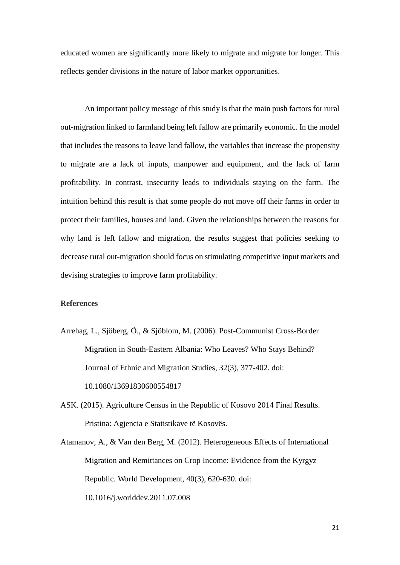<span id="page-21-1"></span>educated women are significantly more likely to migrate and migrate for longer. This reflects gender divisions in the nature of labor market opportunities.

<span id="page-21-6"></span><span id="page-21-4"></span>An important policy message of this study is that the main push factors for rural out-migration linked to farmland being left fallow are primarily economic. In the model that includes the reasons to leave land fallow, the variables that increase the propensity to migrate are a lack of inputs, manpower and equipment, and the lack of farm profitability. In contrast, insecurity leads to individuals staying on the farm. The intuition behind this result is that some people do not move off their farms in order to protect their families, houses and land. Given the relationships between the reasons for why land is left fallow and migration, the results suggest that policies seeking to decrease rural out-migration should focus on stimulating competitive input markets and devising strategies to improve farm profitability.

#### <span id="page-21-5"></span><span id="page-21-0"></span>**References**

- <span id="page-21-3"></span>Arrehag, L., Sjöberg, Ö., & Sjöblom, M. (2006). Post-Communist Cross-Border Migration in South-Eastern Albania: Who Leaves? Who Stays Behind? Journal of Ethnic and Migration Studies, 32(3), 377-402. doi: 10.1080/13691830600554817
- <span id="page-21-2"></span>ASK. (2015). Agriculture Census in the Republic of Kosovo 2014 Final Results. Pristina: Agjencia e Statistikave të Kosovës.
- <span id="page-21-7"></span>Atamanov, A., & Van den Berg, M. (2012). Heterogeneous Effects of International Migration and Remittances on Crop Income: Evidence from the Kyrgyz Republic. World Development, 40(3), 620-630. doi: 10.1016/j.worlddev.2011.07.008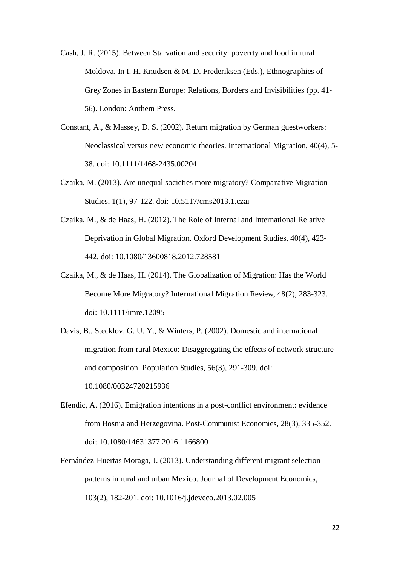- <span id="page-22-6"></span>Cash, J. R. (2015). Between Starvation and security: poverrty and food in rural Moldova. In I. H. Knudsen & M. D. Frederiksen (Eds.), Ethnographies of Grey Zones in Eastern Europe: Relations, Borders and Invisibilities (pp. 41- 56). London: Anthem Press.
- <span id="page-22-8"></span>Constant, A., & Massey, D. S. (2002). Return migration by German guestworkers: Neoclassical versus new economic theories. International Migration, 40(4), 5- 38. doi: 10.1111/1468-2435.00204
- <span id="page-22-1"></span>Czaika, M. (2013). Are unequal societies more migratory? Comparative Migration Studies, 1(1), 97-122. doi: 10.5117/cms2013.1.czai
- <span id="page-22-2"></span>Czaika, M., & de Haas, H. (2012). The Role of Internal and International Relative Deprivation in Global Migration. Oxford Development Studies, 40(4), 423- 442. doi: 10.1080/13600818.2012.728581
- <span id="page-22-5"></span>Czaika, M., & de Haas, H. (2014). The Globalization of Migration: Has the World Become More Migratory? International Migration Review, 48(2), 283-323. doi: 10.1111/imre.12095
- <span id="page-22-0"></span>Davis, B., Stecklov, G. U. Y., & Winters, P. (2002). Domestic and international migration from rural Mexico: Disaggregating the effects of network structure and composition. Population Studies, 56(3), 291-309. doi: 10.1080/00324720215936
- <span id="page-22-7"></span><span id="page-22-4"></span>Efendic, A. (2016). Emigration intentions in a post-conflict environment: evidence from Bosnia and Herzegovina. Post-Communist Economies, 28(3), 335-352. doi: 10.1080/14631377.2016.1166800
- <span id="page-22-3"></span>Fernández-Huertas Moraga, J. (2013). Understanding different migrant selection patterns in rural and urban Mexico. Journal of Development Economics, 103(2), 182-201. doi: 10.1016/j.jdeveco.2013.02.005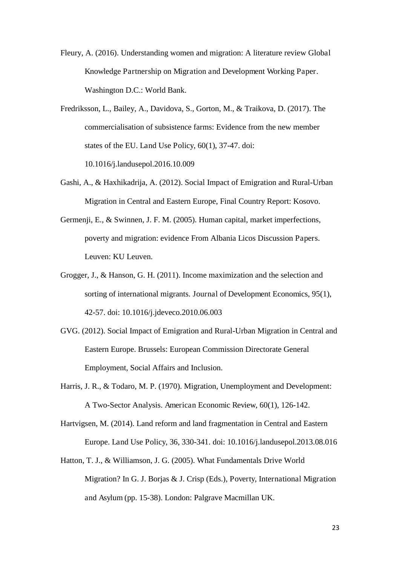<span id="page-23-1"></span>Fleury, A. (2016). Understanding women and migration: A literature review Global Knowledge Partnership on Migration and Development Working Paper. Washington D.C.: World Bank.

- <span id="page-23-7"></span><span id="page-23-3"></span>Fredriksson, L., Bailey, A., Davidova, S., Gorton, M., & Traikova, D. (2017). The commercialisation of subsistence farms: Evidence from the new member states of the EU. Land Use Policy, 60(1), 37-47. doi: 10.1016/j.landusepol.2016.10.009
- <span id="page-23-8"></span>Gashi, A., & Haxhikadrija, A. (2012). Social Impact of Emigration and Rural-Urban Migration in Central and Eastern Europe, Final Country Report: Kosovo.
- <span id="page-23-9"></span>Germenji, E., & Swinnen, J. F. M. (2005). Human capital, market imperfections, poverty and migration: evidence From Albania Licos Discussion Papers. Leuven: KU Leuven.
- <span id="page-23-5"></span>Grogger, J., & Hanson, G. H. (2011). Income maximization and the selection and sorting of international migrants. Journal of Development Economics, 95(1), 42-57. doi: 10.1016/j.jdeveco.2010.06.003
- <span id="page-23-2"></span>GVG. (2012). Social Impact of Emigration and Rural-Urban Migration in Central and Eastern Europe. Brussels: European Commission Directorate General Employment, Social Affairs and Inclusion.
- <span id="page-23-0"></span>Harris, J. R., & Todaro, M. P. (1970). Migration, Unemployment and Development: A Two-Sector Analysis. American Economic Review, 60(1), 126-142.
- <span id="page-23-6"></span>Hartvigsen, M. (2014). Land reform and land fragmentation in Central and Eastern Europe. Land Use Policy, 36, 330-341. doi: 10.1016/j.landusepol.2013.08.016
- <span id="page-23-4"></span>Hatton, T. J., & Williamson, J. G. (2005). What Fundamentals Drive World Migration? In G. J. Borjas & J. Crisp (Eds.), Poverty, International Migration and Asylum (pp. 15-38). London: Palgrave Macmillan UK.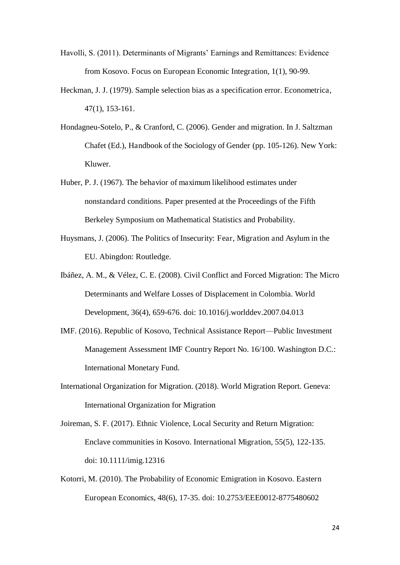- <span id="page-24-6"></span>Havolli, S. (2011). Determinants of Migrants' Earnings and Remittances: Evidence from Kosovo. Focus on European Economic Integration, 1(1), 90-99.
- <span id="page-24-7"></span>Heckman, J. J. (1979). Sample selection bias as a specification error. Econometrica, 47(1), 153-161.
- Hondagneu-Sotelo, P., & Cranford, C. (2006). Gender and migration. In J. Saltzman Chafet (Ed.), Handbook of the Sociology of Gender (pp. 105-126). New York: Kluwer.
- <span id="page-24-0"></span>Huber, P. J. (1967). The behavior of maximum likelihood estimates under nonstandard conditions. Paper presented at the Proceedings of the Fifth Berkeley Symposium on Mathematical Statistics and Probability.
- <span id="page-24-5"></span><span id="page-24-1"></span>Huysmans, J. (2006). The Politics of Insecurity: Fear, Migration and Asylum in the EU. Abingdon: Routledge.
- Ibáñez, A. M., & Vélez, C. E. (2008). Civil Conflict and Forced Migration: The Micro Determinants and Welfare Losses of Displacement in Colombia. World Development, 36(4), 659-676. doi: 10.1016/j.worlddev.2007.04.013
- <span id="page-24-3"></span>IMF. (2016). Republic of Kosovo, Technical Assistance Report—Public Investment Management Assessment IMF Country Report No. 16/100. Washington D.C.: International Monetary Fund.
- <span id="page-24-4"></span>International Organization for Migration. (2018). World Migration Report. Geneva: International Organization for Migration
- <span id="page-24-2"></span>Joireman, S. F. (2017). Ethnic Violence, Local Security and Return Migration: Enclave communities in Kosovo. International Migration, 55(5), 122-135. doi: 10.1111/imig.12316
- Kotorri, M. (2010). The Probability of Economic Emigration in Kosovo. Eastern European Economics, 48(6), 17-35. doi: 10.2753/EEE0012-8775480602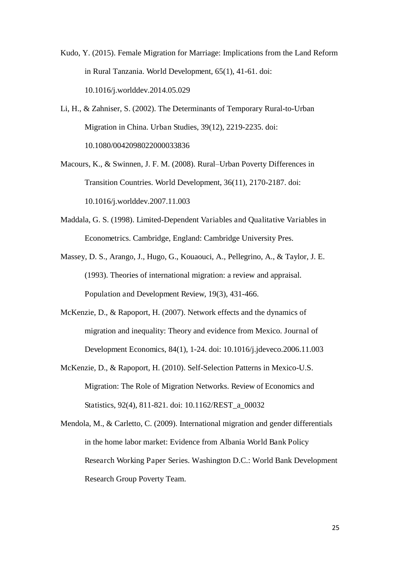<span id="page-25-3"></span>Kudo, Y. (2015). Female Migration for Marriage: Implications from the Land Reform in Rural Tanzania. World Development, 65(1), 41-61. doi: 10.1016/j.worlddev.2014.05.029

<span id="page-25-4"></span>Li, H., & Zahniser, S. (2002). The Determinants of Temporary Rural-to-Urban Migration in China. Urban Studies, 39(12), 2219-2235. doi: 10.1080/0042098022000033836

<span id="page-25-5"></span>Macours, K., & Swinnen, J. F. M. (2008). Rural–Urban Poverty Differences in Transition Countries. World Development, 36(11), 2170-2187. doi: 10.1016/j.worlddev.2007.11.003

- <span id="page-25-1"></span>Maddala, G. S. (1998). Limited-Dependent Variables and Qualitative Variables in Econometrics. Cambridge, England: Cambridge University Pres.
- <span id="page-25-7"></span>Massey, D. S., Arango, J., Hugo, G., Kouaouci, A., Pellegrino, A., & Taylor, J. E. (1993). Theories of international migration: a review and appraisal. Population and Development Review, 19(3), 431-466.
- <span id="page-25-0"></span>McKenzie, D., & Rapoport, H. (2007). Network effects and the dynamics of migration and inequality: Theory and evidence from Mexico. Journal of Development Economics, 84(1), 1-24. doi: 10.1016/j.jdeveco.2006.11.003
- <span id="page-25-2"></span>McKenzie, D., & Rapoport, H. (2010). Self-Selection Patterns in Mexico-U.S. Migration: The Role of Migration Networks. Review of Economics and Statistics, 92(4), 811-821. doi: 10.1162/REST\_a\_00032
- <span id="page-25-8"></span><span id="page-25-6"></span>Mendola, M., & Carletto, C. (2009). International migration and gender differentials in the home labor market: Evidence from Albania World Bank Policy Research Working Paper Series. Washington D.C.: World Bank Development Research Group Poverty Team.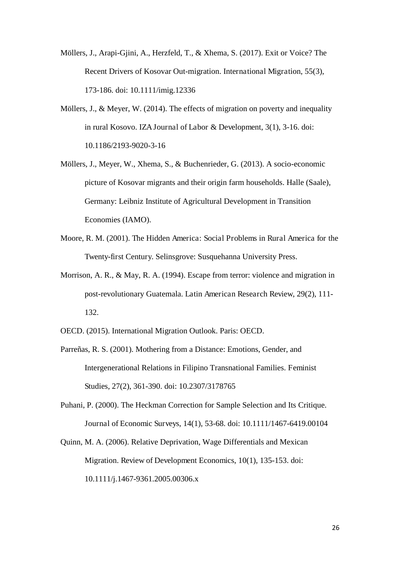- <span id="page-26-5"></span>Möllers, J., Arapi-Gjini, A., Herzfeld, T., & Xhema, S. (2017). Exit or Voice? The Recent Drivers of Kosovar Out-migration. International Migration, 55(3), 173-186. doi: 10.1111/imig.12336
- <span id="page-26-0"></span>Möllers, J., & Meyer, W. (2014). The effects of migration on poverty and inequality in rural Kosovo. IZA Journal of Labor & Development, 3(1), 3-16. doi: 10.1186/2193-9020-3-16
- <span id="page-26-1"></span>Möllers, J., Meyer, W., Xhema, S., & Buchenrieder, G. (2013). A socio-economic picture of Kosovar migrants and their origin farm households. Halle (Saale), Germany: Leibniz Institute of Agricultural Development in Transition Economies (IAMO).
- <span id="page-26-8"></span>Moore, R. M. (2001). The Hidden America: Social Problems in Rural America for the Twenty-first Century. Selinsgrove: Susquehanna University Press.
- <span id="page-26-6"></span><span id="page-26-3"></span>Morrison, A. R., & May, R. A. (1994). Escape from terror: violence and migration in post-revolutionary Guatemala. Latin American Research Review, 29(2), 111- 132.
- <span id="page-26-7"></span>OECD. (2015). International Migration Outlook. Paris: OECD.
- Parreñas, R. S. (2001). Mothering from a Distance: Emotions, Gender, and Intergenerational Relations in Filipino Transnational Families. Feminist Studies, 27(2), 361-390. doi: 10.2307/3178765
- <span id="page-26-4"></span>Puhani, P. (2000). The Heckman Correction for Sample Selection and Its Critique. Journal of Economic Surveys, 14(1), 53-68. doi: 10.1111/1467-6419.00104
- <span id="page-26-2"></span>Quinn, M. A. (2006). Relative Deprivation, Wage Differentials and Mexican Migration. Review of Development Economics, 10(1), 135-153. doi: 10.1111/j.1467-9361.2005.00306.x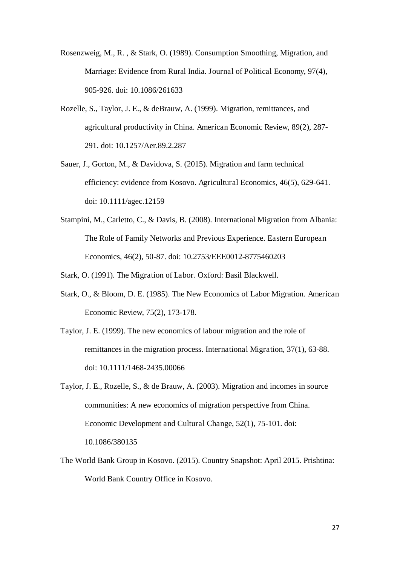- <span id="page-27-5"></span>Rosenzweig, M., R. , & Stark, O. (1989). Consumption Smoothing, Migration, and Marriage: Evidence from Rural India. Journal of Political Economy, 97(4), 905-926. doi: 10.1086/261633
- <span id="page-27-2"></span>Rozelle, S., Taylor, J. E., & deBrauw, A. (1999). Migration, remittances, and agricultural productivity in China. American Economic Review, 89(2), 287- 291. doi: 10.1257/Aer.89.2.287
- <span id="page-27-4"></span>Sauer, J., Gorton, M., & Davidova, S. (2015). Migration and farm technical efficiency: evidence from Kosovo. Agricultural Economics, 46(5), 629-641. doi: 10.1111/agec.12159
- <span id="page-27-7"></span><span id="page-27-1"></span>Stampini, M., Carletto, C., & Davis, B. (2008). International Migration from Albania: The Role of Family Networks and Previous Experience. Eastern European Economics, 46(2), 50-87. doi: 10.2753/EEE0012-8775460203

<span id="page-27-3"></span>Stark, O. (1991). The Migration of Labor. Oxford: Basil Blackwell.

- Stark, O., & Bloom, D. E. (1985). The New Economics of Labor Migration. American Economic Review, 75(2), 173-178.
- <span id="page-27-6"></span>Taylor, J. E. (1999). The new economics of labour migration and the role of remittances in the migration process. International Migration, 37(1), 63-88. doi: 10.1111/1468-2435.00066
- <span id="page-27-0"></span>Taylor, J. E., Rozelle, S., & de Brauw, A. (2003). Migration and incomes in source communities: A new economics of migration perspective from China. Economic Development and Cultural Change, 52(1), 75-101. doi: 10.1086/380135
- The World Bank Group in Kosovo. (2015). Country Snapshot: April 2015. Prishtina: World Bank Country Office in Kosovo.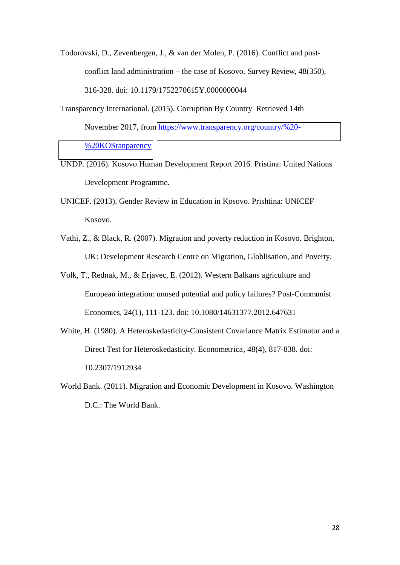Todorovski, D., Zevenbergen, J., & van der Molen, P. (2016). Conflict and postconflict land administration – the case of Kosovo. Survey Review, 48(350), 316-328. doi: 10.1179/1752270615Y.0000000044

Transparency International. (2015). Corruption By Country Retrieved 14th November 2017, from [https://www.transparency.org/country/%20-](https://www.transparency.org/country/%20-%20KOSranparency) [%20KOSranparency](https://www.transparency.org/country/%20-%20KOSranparency)

UNDP. (2016). Kosovo Human Development Report 2016. Pristina: United Nations Development Programme.

UNICEF. (2013). Gender Review in Education in Kosovo. Prishtina: UNICEF Kosovo.

Vathi, Z., & Black, R. (2007). Migration and poverty reduction in Kosovo. Brighton, UK: Development Research Centre on Migration, Globlisation, and Poverty.

Volk, T., Rednak, M., & Erjavec, E. (2012). Western Balkans agriculture and European integration: unused potential and policy failures? Post-Communist Economies, 24(1), 111-123. doi: 10.1080/14631377.2012.647631

White, H. (1980). A Heteroskedasticity-Consistent Covariance Matrix Estimator and a Direct Test for Heteroskedasticity. Econometrica, 48(4), 817-838. doi: 10.2307/1912934

World Bank. (2011). Migration and Economic Development in Kosovo. Washington D.C.: The World Bank.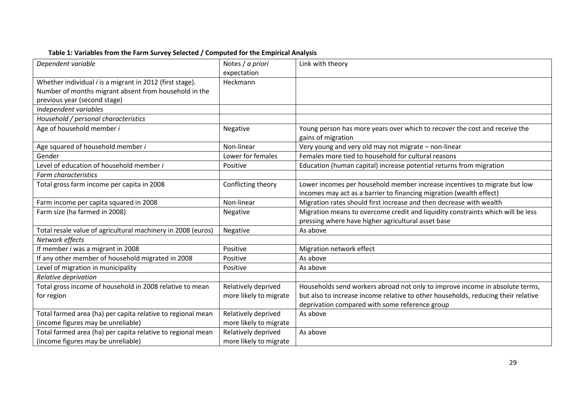| Dependent variable                                           | Notes / a priori       | Link with theory                                                                  |
|--------------------------------------------------------------|------------------------|-----------------------------------------------------------------------------------|
|                                                              | expectation            |                                                                                   |
| Whether individual i is a migrant in 2012 (first stage).     | Heckmann               |                                                                                   |
| Number of months migrant absent from household in the        |                        |                                                                                   |
| previous year (second stage)                                 |                        |                                                                                   |
| Independent variables                                        |                        |                                                                                   |
| Household / personal characteristics                         |                        |                                                                                   |
| Age of household member i                                    | Negative               | Young person has more years over which to recover the cost and receive the        |
|                                                              |                        | gains of migration                                                                |
| Age squared of household member i                            | Non-linear             | Very young and very old may not migrate - non-linear                              |
| Gender                                                       | Lower for females      | Females more tied to household for cultural reasons                               |
| Level of education of household member i                     | Positive               | Education (human capital) increase potential returns from migration               |
| <b>Farm characteristics</b>                                  |                        |                                                                                   |
| Total gross farm income per capita in 2008                   | Conflicting theory     | Lower incomes per household member increase incentives to migrate but low         |
|                                                              |                        | incomes may act as a barrier to financing migration (wealth effect)               |
| Farm income per capita squared in 2008                       | Non-linear             | Migration rates should first increase and then decrease with wealth               |
| Farm size (ha farmed in 2008)                                | Negative               | Migration means to overcome credit and liquidity constraints which will be less   |
|                                                              |                        | pressing where have higher agricultural asset base                                |
| Total resale value of agricultural machinery in 2008 (euros) | Negative               | As above                                                                          |
| Network effects                                              |                        |                                                                                   |
| If member i was a migrant in 2008                            | Positive               | Migration network effect                                                          |
| If any other member of household migrated in 2008            | Positive               | As above                                                                          |
| Level of migration in municipality                           | Positive               | As above                                                                          |
| Relative deprivation                                         |                        |                                                                                   |
| Total gross income of household in 2008 relative to mean     | Relatively deprived    | Households send workers abroad not only to improve income in absolute terms,      |
| for region                                                   | more likely to migrate | but also to increase income relative to other households, reducing their relative |
|                                                              |                        | deprivation compared with some reference group                                    |
| Total farmed area (ha) per capita relative to regional mean  | Relatively deprived    | As above                                                                          |
| (income figures may be unreliable)                           | more likely to migrate |                                                                                   |
| Total farmed area (ha) per capita relative to regional mean  | Relatively deprived    | As above                                                                          |
| (income figures may be unreliable)                           | more likely to migrate |                                                                                   |

# **Table 1: Variables from the Farm Survey Selected / Computed for the Empirical Analysis**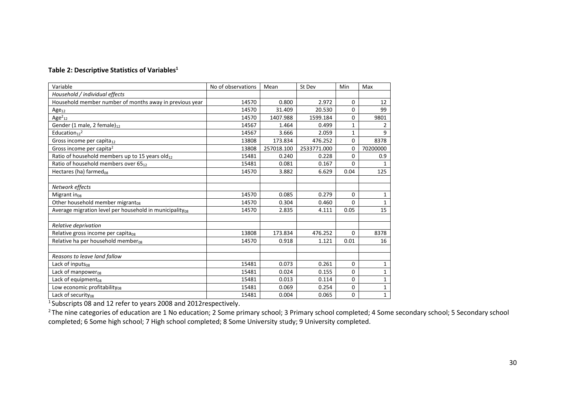#### **Table 2: Descriptive Statistics of Variables<sup>1</sup>**

| Variable                                                            | No of observations | Mean       | St Dev      | Min          | Max          |
|---------------------------------------------------------------------|--------------------|------------|-------------|--------------|--------------|
| Household / individual effects                                      |                    |            |             |              |              |
| Household member number of months away in previous year             | 14570              | 0.800      | 2.972       | $\mathbf 0$  | 12           |
| $Age_{12}$                                                          | 14570              | 31.409     | 20.530      | $\Omega$     | 99           |
| Age $2_{12}$                                                        | 14570              | 1407.988   | 1599.184    | 0            | 9801         |
| Gender (1 male, 2 female) <sub>12</sub>                             | 14567              | 1.464      | 0.499       | $\mathbf{1}$ | 2            |
| Education $12^2$                                                    | 14567              | 3.666      | 2.059       | $\mathbf{1}$ | 9            |
| Gross income per capita <sub>12</sub>                               | 13808              | 173.834    | 476.252     | 0            | 8378         |
| Gross income per capita <sup>2</sup>                                | 13808              | 257018.100 | 2533771.000 | $\mathbf 0$  | 70200000     |
| Ratio of household members up to 15 years old12                     | 15481              | 0.240      | 0.228       | 0            | 0.9          |
| Ratio of household members over 6512                                | 15481              | 0.081      | 0.167       | $\Omega$     | 1            |
| Hectares (ha) farmed <sub>08</sub>                                  | 14570              | 3.882      | 6.629       | 0.04         | 125          |
|                                                                     |                    |            |             |              |              |
| Network effects                                                     |                    |            |             |              |              |
| Migrant $in_{08}$                                                   | 14570              | 0.085      | 0.279       | $\Omega$     | 1            |
| Other household member migrant <sub>08</sub>                        | 14570              | 0.304      | 0.460       | 0            | 1            |
| Average migration level per household in municipality <sub>08</sub> | 14570              | 2.835      | 4.111       | 0.05         | 15           |
|                                                                     |                    |            |             |              |              |
| Relative deprivation                                                |                    |            |             |              |              |
| Relative gross income per capita <sub>08</sub>                      | 13808              | 173.834    | 476.252     | $\Omega$     | 8378         |
| Relative ha per household member <sub>08</sub>                      | 14570              | 0.918      | 1.121       | 0.01         | 16           |
|                                                                     |                    |            |             |              |              |
| Reasons to leave land fallow                                        |                    |            |             |              |              |
| Lack of inputs <sub>08</sub>                                        | 15481              | 0.073      | 0.261       | $\mathbf 0$  | 1            |
| Lack of manpower <sub>08</sub>                                      | 15481              | 0.024      | 0.155       | 0            | 1            |
| Lack of equipment <sub>08</sub>                                     | 15481              | 0.013      | 0.114       | 0            | 1            |
| Low economic profitability <sub>08</sub>                            | 15481              | 0.069      | 0.254       | 0            | $\mathbf{1}$ |
| Lack of security <sub>08</sub>                                      | 15481              | 0.004      | 0.065       | $\Omega$     | $\mathbf{1}$ |

<sup>1</sup> Subscripts 08 and 12 refer to years 2008 and 2012respectively.

<sup>2</sup>The nine categories of education are 1 No education; 2 Some primary school; 3 Primary school completed; 4 Some secondary school; 5 Secondary school completed; 6 Some high school; 7 High school completed; 8 Some University study; 9 University completed.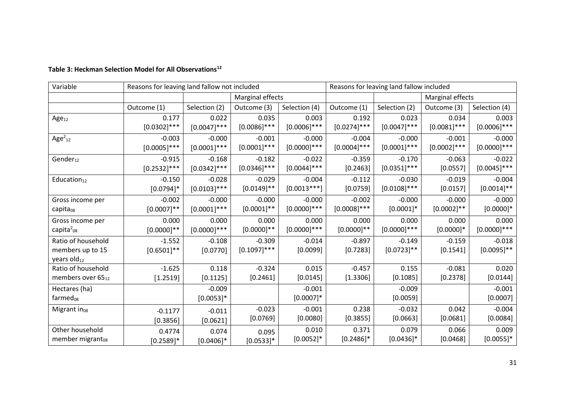| Variable                      | Reasons for leaving land fallow not included |                |                  |                  | Reasons for leaving land fallow included |                  |                  |                |
|-------------------------------|----------------------------------------------|----------------|------------------|------------------|------------------------------------------|------------------|------------------|----------------|
|                               |                                              |                | Marginal effects |                  |                                          |                  | Marginal effects |                |
|                               | Outcome (1)                                  | Selection (2)  | Outcome (3)      | Selection (4)    | Outcome (1)                              | Selection (2)    | Outcome (3)      | Selection (4)  |
| Age <sub>12</sub>             | 0.177                                        | 0.022          | 0.035            | 0.003            | 0.192                                    | 0.023            | 0.034            | 0.003          |
|                               | $[0.0302]$ ***                               | $[0.0047]$ *** | $[0.0086]$ ***   | $[0.0006]$ ***   | $[0.0274]^{***}$                         | $[0.0047]$ ***   | $[0.0081]$ ***   | $[0.0006]$ *** |
| Age $2_{12}$                  | $-0.003$                                     | $-0.000$       | $-0.001$         | $-0.000$         | $-0.004$                                 | $-0.000$         | $-0.001$         | $-0.000$       |
|                               | $[0.0005]$ ***                               | $[0.0001]$ *** | $[0.0001]$ ***   | $[0.0000]^{***}$ | $[0.0004]^{***}$                         | $[0.0001]^{***}$ | $[0.0002]^{***}$ | $[0.0000]$ *** |
| Gender <sub>12</sub>          | $-0.915$                                     | $-0.168$       | $-0.182$         | $-0.022$         | $-0.359$                                 | $-0.170$         | $-0.063$         | $-0.022$       |
|                               | $[0.2532]$ ***                               | $[0.0342]$ *** | $[0.0346]$ ***   | $[0.0044]^{***}$ | [0.2463]                                 | $[0.0351]$ ***   | [0.0557]         | $[0.0045]$ *** |
| Education <sub>12</sub>       | $-0.150$                                     | $-0.028$       | $-0.029$         | $-0.004$         | $-0.112$                                 | $-0.030$         | $-0.019$         | $-0.004$       |
|                               | $[0.0794]$ *                                 | $[0.0103]$ *** | $[0.0149]$ **    | $[0.0013***]$    | [0.0759]                                 | $[0.0108]$ ***   | [0.0157]         | $[0.0014]$ **  |
| Gross income per              | $-0.002$                                     | $-0.000$       | $-0.000$         | $-0.000$         | $-0.002$                                 | $-0.000$         | $-0.000$         | $-0.000$       |
| capita <sub>08</sub>          | $[0.0007]$ **                                | $[0.0001]$ *** | $[0.0001]**$     | $[0.0000]$ ***   | $[0.0008]$ ***                           | $[0.0001]$ *     | $[0.0002]**$     | $[0.0000]$ *   |
| Gross income per              | 0.000                                        | 0.000          | 0.000            | 0.000            | 0.000                                    | 0.000            | 0.000            | 0.000          |
| capita $_{08}^2$              | $[0.0000]$ **                                | $[0.0000]$ *** | $[0.0000]$ **    | $[0.0000]^{***}$ | $[0.0000]$ **                            | $[0.0000]$ ***   | $[0.0000]$ *     | $[0.0000]$ *** |
| Ratio of household            | $-1.552$                                     | $-0.108$       | $-0.309$         | $-0.014$         | $-0.897$                                 | $-0.149$         | $-0.159$         | $-0.018$       |
| members up to 15              | $[0.6501]$ **                                | $[0.0770]$     | $[0.1097]$ ***   | [0.0099]         | [0.7283]                                 | $[0.0723]$ **    | [0.1541]         | $[0.0095]$ **  |
| years $old_{12}$              |                                              |                |                  |                  |                                          |                  |                  |                |
| Ratio of household            | $-1.625$                                     | 0.118          | $-0.324$         | 0.015            | $-0.457$                                 | 0.155            | $-0.081$         | 0.020          |
| members over 65 <sub>12</sub> | $[1.2519]$                                   | [0.1125]       | [0.2461]         | [0.0145]         | [1.3306]                                 | [0.1085]         | [0.2378]         | [0.0144]       |
| Hectares (ha)                 |                                              | $-0.009$       |                  | $-0.001$         |                                          | $-0.009$         |                  | $-0.001$       |
| farmed <sub>08</sub>          |                                              | $[0.0053]$ *   |                  | $[0.0007]$ *     |                                          | [0.0059]         |                  | [0.0007]       |
| Migrant in $_{08}$            | $-0.1177$                                    | $-0.011$       | $-0.023$         | $-0.001$         | 0.238                                    | $-0.032$         | 0.042            | $-0.004$       |
|                               | [0.3856]                                     | [0.0621]       | [0.0769]         | [0.0080]         | [0.3855]                                 | [0.0663]         | [0.0681]         | [0.0084]       |
| Other household               | 0.4774                                       | 0.074          | 0.095            | 0.010            | 0.371                                    | 0.079            | 0.066            | 0.009          |
| member migrant <sub>08</sub>  | $[0.2589]$ *                                 | $[0.0406]$ *   | $[0.0533]$ *     | $[0.0052]$ *     | $[0.2486]$ *                             | $[0.0436]$ *     | [0.0468]         | $[0.0055]$ *   |

# **Table 3: Heckman Selection Model for All Observations<sup>12</sup>**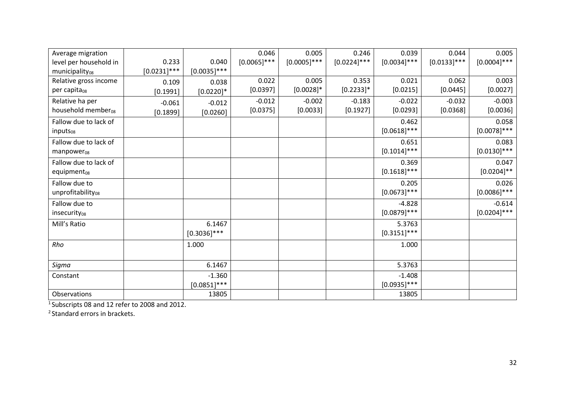| Average migration              |                |                | 0.046          | 0.005          | 0.246          | 0.039            | 0.044          | 0.005            |
|--------------------------------|----------------|----------------|----------------|----------------|----------------|------------------|----------------|------------------|
| level per household in         | 0.233          | 0.040          | $[0.0065]$ *** | $[0.0005]$ *** | $[0.0224]$ *** | $[0.0034]$ ***   | $[0.0133]$ *** | $[0.0004]$ ***   |
| municipality <sub>08</sub>     | $[0.0231]$ *** | $[0.0035]$ *** |                |                |                |                  |                |                  |
| Relative gross income          | 0.109          | 0.038          | 0.022          | 0.005          | 0.353          | 0.021            | 0.062          | 0.003            |
| per capita <sub>08</sub>       | $[0.1991]$     | $[0.0220]$ *   | [0.0397]       | $[0.0028]$ *   | $[0.2233]$ *   | [0.0215]         | [0.0445]       | [0.0027]         |
| Relative ha per                | $-0.061$       | $-0.012$       | $-0.012$       | $-0.002$       | $-0.183$       | $-0.022$         | $-0.032$       | $-0.003$         |
| household member <sub>08</sub> | [0.1899]       | $[0.0260]$     | [0.0375]       | [0.0033]       | [0.1927]       | [0.0293]         | [0.0368]       | [0.0036]         |
| Fallow due to lack of          |                |                |                |                |                | 0.462            |                | 0.058            |
| inputs <sub>08</sub>           |                |                |                |                |                | $[0.0618]$ ***   |                | $[0.0078]$ ***   |
| Fallow due to lack of          |                |                |                |                |                | 0.651            |                | 0.083            |
| $manpower_{08}$                |                |                |                |                |                | $[0.1014]^{***}$ |                | $[0.0130]$ ***   |
| Fallow due to lack of          |                |                |                |                |                | 0.369            |                | 0.047            |
| equipment $_{08}$              |                |                |                |                |                | $[0.1618]$ ***   |                | $[0.0204]$ **    |
| Fallow due to                  |                |                |                |                |                | 0.205            |                | 0.026            |
| unprofitability <sub>08</sub>  |                |                |                |                |                | $[0.0673]$ ***   |                | $[0.0086]$ ***   |
| Fallow due to                  |                |                |                |                |                | $-4.828$         |                | $-0.614$         |
| insecurity <sub>08</sub>       |                |                |                |                |                | $[0.0879]$ ***   |                | $[0.0204]^{***}$ |
| Mill's Ratio                   |                | 6.1467         |                |                |                | 5.3763           |                |                  |
|                                |                | $[0.3036]$ *** |                |                |                | $[0.3151]$ ***   |                |                  |
| Rho                            |                | 1.000          |                |                |                | 1.000            |                |                  |
|                                |                |                |                |                |                |                  |                |                  |
| Sigma                          |                | 6.1467         |                |                |                | 5.3763           |                |                  |
| Constant                       |                | $-1.360$       |                |                |                | $-1.408$         |                |                  |
|                                |                | $[0.0851]$ *** |                |                |                | $[0.0935]^{***}$ |                |                  |
| Observations                   |                | 13805          |                |                |                | 13805            |                |                  |

<sup>1</sup>Subscripts 08 and 12 refer to 2008 and 2012.

<sup>2</sup> Standard errors in brackets.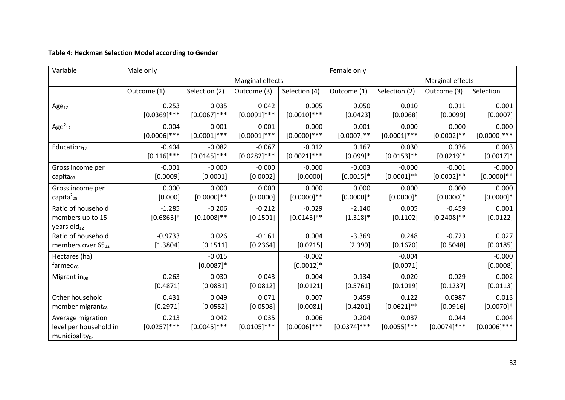# **Table 4: Heckman Selection Model according to Gender**

| Variable                                                                  | Male only               |                           |                         |                           | Female only             |                         |                           |                         |
|---------------------------------------------------------------------------|-------------------------|---------------------------|-------------------------|---------------------------|-------------------------|-------------------------|---------------------------|-------------------------|
|                                                                           |                         |                           | Marginal effects        |                           |                         | Marginal effects        |                           |                         |
|                                                                           | Outcome (1)             | Selection (2)             | Outcome (3)             | Selection (4)             | Outcome (1)             | Selection (2)           | Outcome (3)               | Selection               |
| Age <sub>12</sub>                                                         | 0.253                   | 0.035                     | 0.042                   | 0.005                     | 0.050                   | 0.010                   | 0.011                     | 0.001                   |
|                                                                           | $[0.0369]$ ***          | $[0.0067]^{\ast\ast\ast}$ | $[0.0091]$ ***          | $[0.0010]$ ***            | [0.0423]                | [0.0068]                | [0.0099]                  | [0.0007]                |
| Age $2_{12}$                                                              | $-0.004$                | $-0.001$                  | $-0.001$                | $-0.000$                  | $-0.001$                | $-0.000$                | $-0.000$                  | $-0.000$                |
|                                                                           | $[0.0006]$ ***          | $[0.0001]$ ***            | $[0.0001]$ ***          | $[0.0000]$ ***            | $[0.0007]$ **           | $[0.0001]^{***}$        | $[0.0002]**$              | $[0.0000]^{***}$        |
| Education $_{12}$                                                         | $-0.404$                | $-0.082$                  | $-0.067$                | $-0.012$                  | 0.167                   | 0.030                   | 0.036                     | 0.003                   |
|                                                                           | $[0.116]$ ***           | $[0.0145]$ ***            | $[0.0282]$ ***          | $[0.0021]^{***}$          | $[0.099]$ *             | $[0.0153]$ **           | $[0.0219]*$               | $[0.0017]$ *            |
| Gross income per                                                          | $-0.001$                | $-0.000$                  | $-0.000$                | $-0.000$                  | $-0.003$                | $-0.000$                | $-0.001$                  | $-0.000$                |
| capita <sub>08</sub>                                                      | [0.0009]                | [0.0001]                  | [0.0002]                | [0.0000]                  | $[0.0015]*$             | $[0.0001]$ **           | $[0.0002]**$              | $[0.0000]**$            |
| Gross income per                                                          | 0.000                   | 0.000                     | 0.000                   | 0.000                     | 0.000                   | 0.000                   | 0.000                     | 0.000                   |
| capita $_{08}^2$                                                          | [0.000]                 | $[0.0000]$ **             | [0.0000]                | $[0.0000]$ **             | $[0.0000]$ *            | $[0.0000]$ *            | $[0.0000]$ *              | $[0.0000]$ *            |
| Ratio of household<br>members up to 15<br>years $old_{12}$                | $-1.285$<br>$[0.6863]*$ | $-0.206$<br>$[0.1008]$ ** | $-0.212$<br>[0.1501]    | $-0.029$<br>$[0.0143]$ ** | $-2.140$<br>$[1.318]*$  | 0.005<br>[0.1102]       | $-0.459$<br>$[0.2408]$ ** | 0.001<br>[0.0122]       |
| Ratio of household                                                        | $-0.9733$               | 0.026                     | $-0.161$                | 0.004                     | $-3.369$                | 0.248                   | $-0.723$                  | 0.027                   |
| members over 65 <sub>12</sub>                                             | [1.3804]                | [0.1511]                  | [0.2364]                | [0.0215]                  | [2.399]                 | [0.1670]                | [0.5048]                  | [0.0185]                |
| Hectares (ha)<br>$farmed_{08}$                                            |                         | $-0.015$<br>$[0.0087]$ *  |                         | $-0.002$<br>$[0.0012]*$   |                         | $-0.004$<br>[0.0071]    |                           | $-0.000$<br>[0.0008]    |
| Migrant in <sub>08</sub>                                                  | $-0.263$                | $-0.030$                  | $-0.043$                | $-0.004$                  | 0.134                   | 0.020                   | 0.029                     | 0.002                   |
|                                                                           | [0.4871]                | [0.0831]                  | [0.0812]                | [0.0121]                  | [0.5761]                | [0.1019]                | [0.1237]                  | [0.0113]                |
| Other household                                                           | 0.431                   | 0.049                     | 0.071                   | 0.007                     | 0.459                   | 0.122                   | 0.0987                    | 0.013                   |
| member migrant <sub>08</sub>                                              | [0.2971]                | [0.0552]                  | [0.0508]                | [0.0081]                  | [0.4201]                | $[0.0621]$ **           | [0.0916]                  | $[0.0070]$ *            |
| Average migration<br>level per household in<br>municipality <sub>08</sub> | 0.213<br>$[0.0257]$ *** | 0.042<br>$[0.0045]$ ***   | 0.035<br>$[0.0105]$ *** | 0.006<br>$[0.0006]$ ***   | 0.204<br>$[0.0374]$ *** | 0.037<br>$[0.0055]$ *** | 0.044<br>$[0.0074]$ ***   | 0.004<br>$[0.0006]$ *** |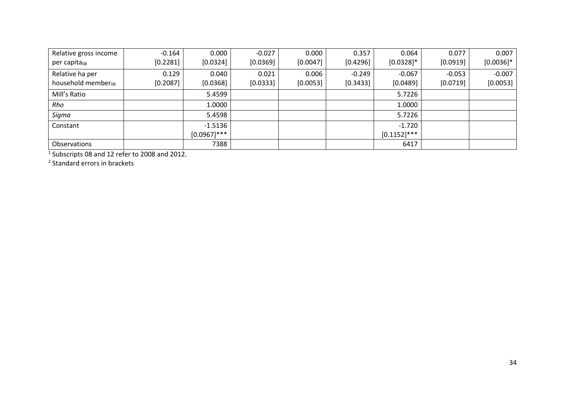| Relative gross income          | $-0.164$ | 0.000          | $-0.027$ | 0.000    | 0.357    | 0.064          | 0.077    | 0.007        |
|--------------------------------|----------|----------------|----------|----------|----------|----------------|----------|--------------|
| per capita <sub>08</sub>       | [0.2281] | [0.0324]       | [0.0369] | [0.0047] | [0.4296] | $[0.0328]$ *   | [0.0919] | $[0.0036]$ * |
| Relative ha per                | 0.129    | 0.040          | 0.021    | 0.006    | $-0.249$ | $-0.067$       | $-0.053$ | $-0.007$     |
| household member <sub>08</sub> | [0.2087] | [0.0368]       | [0.0333] | [0.0053] | [0.3433] | [0.0489]       | [0.0719] | [0.0053]     |
| Mill's Ratio                   |          | 5.4599         |          |          |          | 5.7226         |          |              |
| Rho                            |          | 1.0000         |          |          |          | 1.0000         |          |              |
| Sigma                          |          | 5.4598         |          |          |          | 5.7226         |          |              |
| Constant                       |          | $-1.5136$      |          |          |          | $-1.720$       |          |              |
|                                |          | $[0.0967]$ *** |          |          |          | $[0.1152]$ *** |          |              |
| Observations                   |          | 7388           |          |          |          | 6417           |          |              |

1 Subscripts 08 and 12 refer to 2008 and 2012.

2 Standard errors in brackets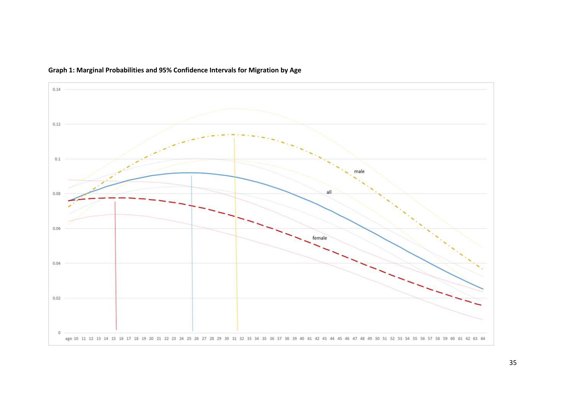

# **Graph 1: Marginal Probabilities and 95% Confidence Intervals for Migration by Age**